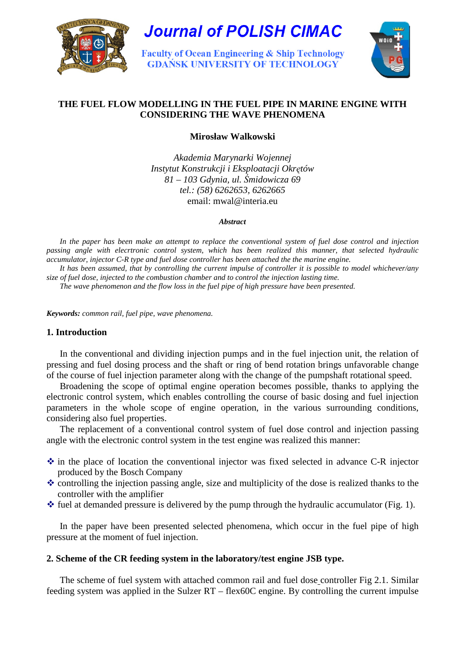

**Journal of POLISH CIMAC** 

**Faculty of Ocean Engineering & Ship Technology GDANSK UNIVERSITY OF TECHNOLOGY** 



# **THE FUEL FLOW MODELLING IN THE FUEL PIPE IN MARINE ENGINE WITH CONSIDERING THE WAVE PHENOMENA**

**Mirosław Walkowski** 

*Akademia Marynarki Wojennej Instytut Konstrukcji i Eksploatacji Okr*ę*tów 81 – 103 Gdynia, ul.* Ś*midowicza 69 tel.: (58) 6262653, 6262665*  email: mwal@interia.eu

#### *Abstract*

*In the paper has been make an attempt to replace the conventional system of fuel dose control and injection passing angle with elecrtronic control system, which has been realized this manner, that selected hydraulic accumulator, injector C-R type and fuel dose controller has been attached the the marine engine.* 

*It has been assumed, that by controlling the current impulse of controller it is possible to model whichever/any size of fuel dose, injected to the combustion chamber and to control the injection lasting time.* 

*The wave phenomenon and the flow loss in the fuel pipe of high pressure have been presented.* 

*Keywords: common rail, fuel pipe, wave phenomena.*

# **1. Introduction**

In the conventional and dividing injection pumps and in the fuel injection unit, the relation of pressing and fuel dosing process and the shaft or ring of bend rotation brings unfavorable change of the course of fuel injection parameter along with the change of the pumpshaft rotational speed.

Broadening the scope of optimal engine operation becomes possible, thanks to applying the electronic control system, which enables controlling the course of basic dosing and fuel injection parameters in the whole scope of engine operation, in the various surrounding conditions, considering also fuel properties.

The replacement of a conventional control system of fuel dose control and injection passing angle with the electronic control system in the test engine was realized this manner:

- $\cdot$  in the place of location the conventional injector was fixed selected in advance C-R injector produced by the Bosch Company
- $\triangle$  controlling the injection passing angle, size and multiplicity of the dose is realized thanks to the controller with the amplifier
- $\triangle$  fuel at demanded pressure is delivered by the pump through the hydraulic accumulator (Fig. 1).

In the paper have been presented selected phenomena, which occur in the fuel pipe of high pressure at the moment of fuel injection.

# **2. Scheme of the CR feeding system in the laboratory/test engine JSB type.**

The scheme of fuel system with attached common rail and fuel dose controller Fig 2.1. Similar feeding system was applied in the Sulzer RT – flex60C engine. By controlling the current impulse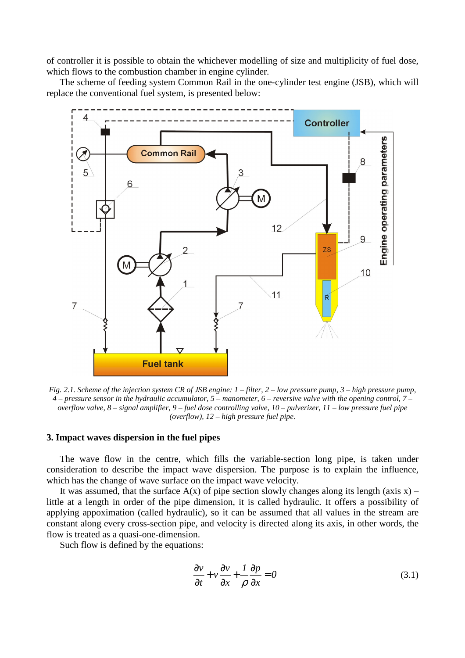of controller it is possible to obtain the whichever modelling of size and multiplicity of fuel dose, which flows to the combustion chamber in engine cylinder.

The scheme of feeding system Common Rail in the one-cylinder test engine (JSB), which will replace the conventional fuel system, is presented below:



*Fig. 2.1. Scheme of the injection system CR of JSB engine: 1 – filter, 2 – low pressure pump, 3 – high pressure pump, 4 – pressure sensor in the hydraulic accumulator, 5 – manometer, 6 – reversive valve with the opening control, 7 – overflow valve, 8 – signal amplifier, 9 – fuel dose controlling valve, 10 – pulverizer, 11 – low pressure fuel pipe (overflow), 12 – high pressure fuel pipe.* 

# **3. Impact waves dispersion in the fuel pipes**

The wave flow in the centre, which fills the variable-section long pipe, is taken under consideration to describe the impact wave dispersion. The purpose is to explain the influence, which has the change of wave surface on the impact wave velocity.

It was assumed, that the surface  $A(x)$  of pipe section slowly changes along its length (axis x) – little at a length in order of the pipe dimension, it is called hydraulic. It offers a possibility of applying appoximation (called hydraulic), so it can be assumed that all values in the stream are constant along every cross-section pipe, and velocity is directed along its axis, in other words, the flow is treated as a quasi-one-dimension.

Such flow is defined by the equations:

$$
\frac{\partial v}{\partial t} + v \frac{\partial v}{\partial x} + \frac{1}{\rho} \frac{\partial p}{\partial x} = 0
$$
 (3.1)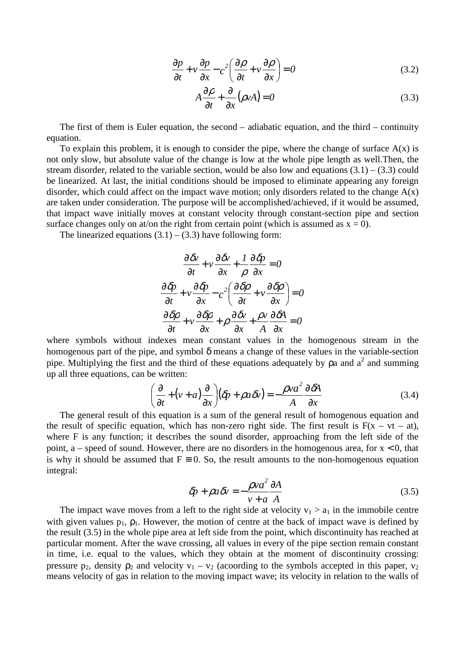$$
\frac{\partial p}{\partial t} + v \frac{\partial p}{\partial x} - c^2 \left( \frac{\partial \rho}{\partial t} + v \frac{\partial \rho}{\partial x} \right) = 0
$$
\n(3.2)

$$
A\frac{\partial \rho}{\partial t} + \frac{\partial}{\partial x}(\rho v A) = 0
$$
\n(3.3)

The first of them is Euler equation, the second – adiabatic equation, and the third – continuity equation.

To explain this problem, it is enough to consider the pipe, where the change of surface  $A(x)$  is not only slow, but absolute value of the change is low at the whole pipe length as well.Then, the stream disorder, related to the variable section, would be also low and equations  $(3.1) - (3.3)$  could be linearized. At last, the initial conditions should be imposed to eliminate appearing any foreign disorder, which could affect on the impact wave motion; only disorders related to the change  $A(x)$ are taken under consideration. The purpose will be accomplished/achieved, if it would be assumed, that impact wave initially moves at constant velocity through constant-section pipe and section surface changes only on at/on the right from certain point (which is assumed as  $x = 0$ ).

The linearized equations  $(3.1) - (3.3)$  have following form:

$$
\frac{\partial \delta v}{\partial t} + v \frac{\partial \delta v}{\partial x} + \frac{1}{\rho} \frac{\partial \delta p}{\partial x} = 0
$$
  

$$
\frac{\partial \delta p}{\partial t} + v \frac{\partial \delta p}{\partial x} - c^2 \left( \frac{\partial \delta p}{\partial t} + v \frac{\partial \delta p}{\partial x} \right) = 0
$$
  

$$
\frac{\partial \delta p}{\partial t} + v \frac{\partial \delta p}{\partial x} + \rho \frac{\partial \delta v}{\partial x} + \frac{\rho v}{A} \frac{\partial \delta A}{\partial x} = 0
$$

where symbols without indexes mean constant values in the homogenous stream in the homogenous part of the pipe, and symbol  $\delta$  means a change of these values in the variable-section pipe. Multiplying the first and the third of these equations adequately by  $\rho$ a and  $a^2$  and summing up all three equations, can be written:

$$
\left(\frac{\partial}{\partial t} + (\nu + a)\frac{\partial}{\partial x}\right)(\delta p + \rho a \delta v) = -\frac{\rho v a^2}{A} \frac{\partial \delta A}{\partial x}
$$
\n(3.4)

The general result of this equation is a sum of the general result of homogenous equation and the result of specific equation, which has non-zero right side. The first result is  $F(x - vt - at)$ , where F is any function; it describes the sound disorder, approaching from the left side of the point, a – speed of sound. However, there are no disorders in the homogenous area, for  $x < 0$ , that is why it should be assumed that  $F = 0$ . So, the result amounts to the non-homogenous equation integral:

$$
\delta p + \rho a \delta v = -\frac{\rho v a^2}{v + a} \frac{\partial A}{A}
$$
\n(3.5)

The impact wave moves from a left to the right side at velocity  $v_1 > a_1$  in the immobile centre with given values  $p_1$ ,  $p_1$ . However, the motion of centre at the back of impact wave is defined by the result (3.5) in the whole pipe area at left side from the point, which discontinuity has reached at particular moment. After the wave crossing, all values in every of the pipe section remain constant in time, i.e. equal to the values, which they obtain at the moment of discontinuity crossing: pressure p<sub>2</sub>, density  $\rho_2$  and velocity  $v_1 - v_2$  (acoording to the symbols accepted in this paper,  $v_2$ ) means velocity of gas in relation to the moving impact wave; its velocity in relation to the walls of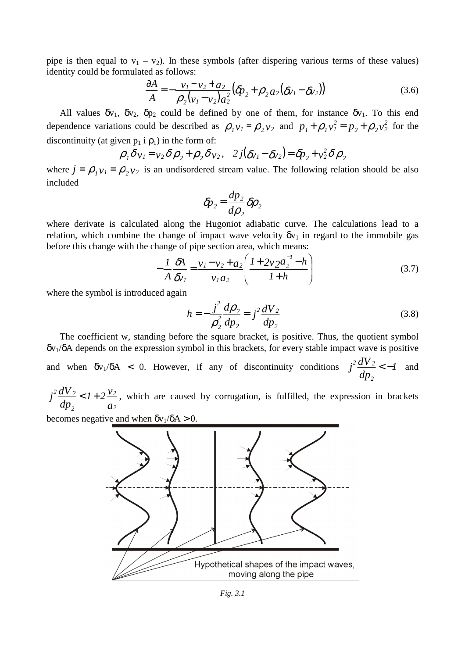pipe is then equal to  $v_1 - v_2$ ). In these symbols (after dispering various terms of these values) identity could be formulated as follows:

$$
\frac{\partial A}{A} = -\frac{v_1 - v_2 + a_2}{\rho_2 (v_1 - v_2) a_2^2} (\delta p_2 + \rho_2 a_2 (\delta v_1 - \delta v_2))
$$
\n(3.6)

All values  $\delta v_1$ ,  $\delta v_2$ ,  $\delta p_2$  could be defined by one of them, for instance  $\delta v_1$ . To this end dependence variations could be described as  $\rho_1 v_1 = \rho_2 v_2$  and  $p_1 + \rho_1 v_1^2 = p_2 + \rho_2 v_2^2$  $_{2}$   $+$   $\mu$ <sub>2</sub>  $\nu$ <sub>2</sub> *2*  $I_1 + \rho_1 v_1^2 = p_2 + \rho_2 v_2^2$  for the discontinuity (at given  $p_1$  i  $p_1$ ) in the form of:

$$
\rho_1 \delta v_1 = v_2 \delta \rho_2 + \rho_2 \delta v_2, \quad 2j(\delta v_1 - \delta v_2) = \delta p_2 + v_2^2 \delta \rho_2
$$

where  $j = \rho_1 v_1 = \rho_2 v_2$  is an undisordered stream value. The following relation should be also included

$$
\delta p_2 = \frac{dp_2}{d\rho_2} \delta \rho_2
$$

where derivate is calculated along the Hugoniot adiabatic curve. The calculations lead to a relation, which combine the change of impact wave velocity  $\delta v_1$  in regard to the immobile gas before this change with the change of pipe section area, which means:

$$
-\frac{1}{A}\frac{\delta A}{\delta v_1} = \frac{v_1 - v_2 + a_2}{v_1 a_2} \left(\frac{1 + 2v_2 a_2^{-1} - h}{1 + h}\right)
$$
(3.7)

where the symbol is introduced again

$$
h = -\frac{j^2}{\rho_2^2} \frac{d\rho_2}{dp_2} = j^2 \frac{dV_2}{dp_2}
$$
 (3.8)

The coefficient w, standing before the square bracket, is positive. Thus, the quotient symbol  $\delta v_1/\delta A$  depends on the expression symbol in this brackets, for every stable impact wave is positive and when  $\delta v_1/\delta A$  < 0. However, if any of discontinuity conditions  $j^2 \frac{dv_2}{dt} < -1$ *dp*  $j^2 \frac{dV}{l}$ *2*  $\frac{2 dV_2}{I} < -l$  and

*a v dp*  $j^2 \frac{dV}{l}$ *2 2 2*  $\frac{2 dV_2}{dV_1}$  <  $1 + 2 \frac{V_2}{V_2}$ , which are caused by corrugation, is fulfilled, the expression in brackets

becomes negative and when  $\delta v_1/\delta A > 0$ .

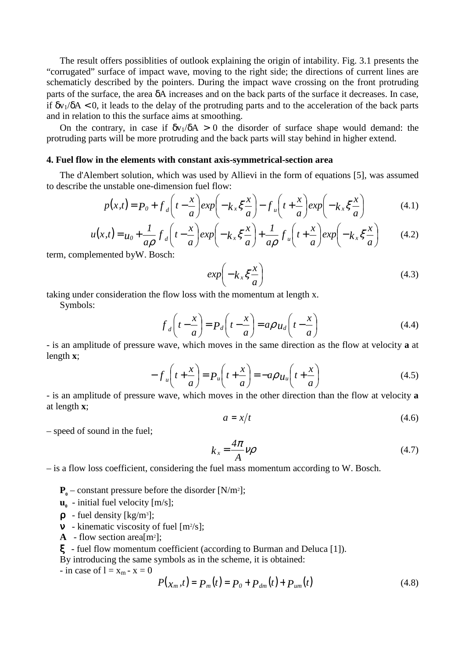The result offers possiblities of outlook explaining the origin of intability. Fig. 3.1 presents the "corrugated" surface of impact wave, moving to the right side; the directions of current lines are schematicly described by the pointers. During the impact wave crossing on the front protruding parts of the surface, the area δA increases and on the back parts of the surface it decreases. In case, if  $\delta v_1/\delta A < 0$ , it leads to the delay of the protruding parts and to the acceleration of the back parts and in relation to this the surface aims at smoothing.

On the contrary, in case if  $\delta v_1/\delta A > 0$  the disorder of surface shape would demand: the protruding parts will be more protruding and the back parts will stay behind in higher extend.

#### **4. Fuel flow in the elements with constant axis-symmetrical-section area**

The d'Alembert solution, which was used by Allievi in the form of equations [5], was assumed to describe the unstable one-dimension fuel flow:

$$
p(x,t) = P_0 + f_d \left( t - \frac{x}{a} \right) exp\left( -k_x \xi \frac{x}{a} \right) - f_u \left( t + \frac{x}{a} \right) exp\left( -k_x \xi \frac{x}{a} \right) \tag{4.1}
$$

$$
u(x,t) = u_0 + \frac{1}{a\rho} f_d \left( t - \frac{x}{a} \right) \exp\left( -k_x \xi \frac{x}{a} \right) + \frac{1}{a\rho} f_u \left( t + \frac{x}{a} \right) \exp\left( -k_x \xi \frac{x}{a} \right) \tag{4.2}
$$

term, complemented byW. Bosch:

$$
exp\left(-k_x \xi \frac{x}{a}\right) \tag{4.3}
$$

taking under consideration the flow loss with the momentum at length x.

Symbols:

$$
f_d\left(t - \frac{x}{a}\right) = P_d\left(t - \frac{x}{a}\right) = a\rho u_d\left(t - \frac{x}{a}\right)
$$
\n(4.4)

- is an amplitude of pressure wave, which moves in the same direction as the flow at velocity **a** at length **x**;

$$
-f_u\left(t+\frac{x}{a}\right) = P_u\left(t+\frac{x}{a}\right) = -a\rho u_u\left(t+\frac{x}{a}\right)
$$
\n(4.5)

- is an amplitude of pressure wave, which moves in the other direction than the flow at velocity **a** at length **x**;

$$
a = x/t \tag{4.6}
$$

– speed of sound in the fuel;

$$
k_x = \frac{4\pi}{A} \nu \rho \tag{4.7}
$$

– is a flow loss coefficient, considering the fuel mass momentum according to W. Bosch.

- $\mathbf{P}_{\mathbf{0}}$  constant pressure before the disorder [N/m<sup>2</sup>];
- **u0** - initial fuel velocity [m/s];
- $\rho$  fuel density [kg/m<sup>3</sup>];
- $v$  kinematic viscosity of fuel [m<sup>2</sup>/s];
- **A** flow section area[ $m^2$ ];

ξ - fuel flow momentum coefficient (according to Burman and Deluca [1]).

By introducing the same symbols as in the scheme, it is obtained:

- in case of  $l = x_m - x = 0$ 

$$
P(x_m, t) = P_m(t) = P_0 + P_{dm}(t) + P_{um}(t)
$$
\n(4.8)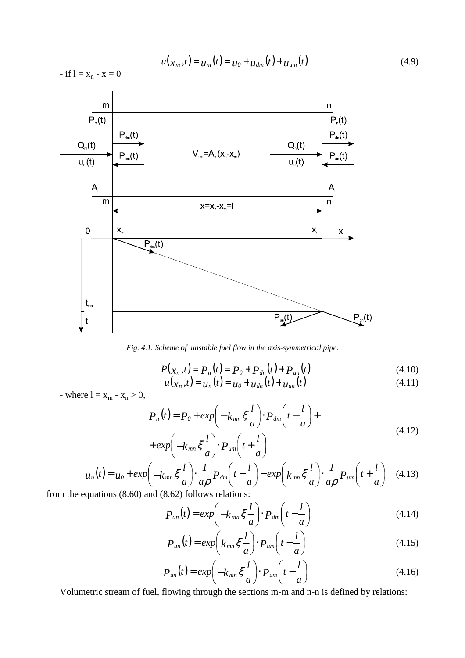$$
u(x_m, t) = u_m(t) = u_0 + u_{dm}(t) + u_{um}(t)
$$
\n(4.9)

 $-$  if  $l = x_n - x = 0$ 



*Fig. 4.1. Scheme of unstable fuel flow in the axis-symmetrical pipe.* 

$$
P(x_n, t) = P_n(t) = P_0 + P_{dn}(t) + P_{un}(t)
$$
\n(4.10)

$$
u(x_n, t) = u_n(t) = u_0 + u_{dn}(t) + u_{un}(t)
$$
\n(4.11)

- where  $l = x_m - x_n > 0$ ,

$$
P_n(t) = P_0 + exp\left(-k_{mn}\xi \frac{l}{a}\right) \cdot P_{dm}\left(t - \frac{l}{a}\right) + exp\left(-k_{mn}\xi \frac{l}{a}\right) \cdot P_{um}\left(t + \frac{l}{a}\right)
$$
\n(4.12)

$$
u_n(t) = u_0 + exp\left(-k_{mn}\xi \frac{l}{a}\right) \cdot \frac{1}{a\rho} P_{dm}\left(t - \frac{l}{a}\right) - exp\left(k_{mn}\xi \frac{l}{a}\right) \cdot \frac{1}{a\rho} P_{um}\left(t + \frac{l}{a}\right) \quad (4.13)
$$

from the equations (8.60) and (8.62) follows relations:

$$
P_{dn}(t) = exp\left(-k_{mn}\xi\frac{l}{a}\right) \cdot P_{dm}\left(t - \frac{l}{a}\right) \tag{4.14}
$$

$$
P_{un}(t) = exp\left(k_{mn}\xi\frac{l}{a}\right) \cdot P_{um}\left(t + \frac{l}{a}\right)
$$
\n(4.15)

$$
P_{un}(t) = exp\left(-k_{mn}\xi\frac{l}{a}\right) \cdot P_{um}\left(t - \frac{l}{a}\right)
$$
\n(4.16)

Volumetric stream of fuel, flowing through the sections m-m and n-n is defined by relations: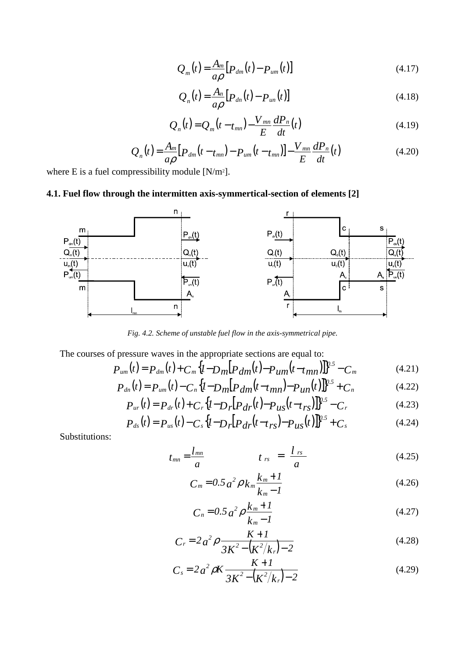$$
Q_m(t) = \frac{A_m}{a\rho} \left[ P_{dm}(t) - P_{um}(t) \right]
$$
\n(4.17)

$$
Q_n(t) = \frac{A_n}{a\rho} \left[ P_{dn}(t) - P_{un}(t) \right]
$$
\n(4.18)

$$
Q_n(t) = Q_m(t - t_{mn}) - \frac{V_{mn}}{E} \frac{dP_n}{dt}(t)
$$
\n(4.19)

$$
Q_n(t) = \frac{A_m}{a\rho} [P_{dm}(t - t_{mn}) - P_{um}(t - t_{mn})] - \frac{V_{mn}}{E} \frac{dP_n}{dt}(t)
$$
(4.20)

where E is a fuel compressibility module  $[N/m^2]$ .

# **4.1. Fuel flow through the intermitten axis-symmertical-section of elements [2]**



*Fig. 4.2. Scheme of unstable fuel flow in the axis-symmetrical pipe.* 

The courses of pressure waves in the appropriate sections are equal to:

$$
P_{um}(t) = P_{dm}(t) + C_m \{I - D_m[P_{dm}(t) - P_{um}(t - t_{mn})]\}^{0.5} - C_m
$$
(4.21)

$$
P_{dn}(t) = P_{um}(t) - C_n \{I - D_m[P_{dm}(t - t_{mn}) - P_{un}(t)]\}^{\nu.5} + C_n
$$
\n(4.22)

$$
P_{ur}(t) = P_{dr}(t) + C_r \{I - D_r[P_{dr}(t) - P_{us}(t - t_{rs})]\}^{0.5} - C_r
$$
\n(4.23)

$$
P_{ds}(t) = P_{us}(t) - C_s \{I - D_r [P_{dr}(t - t_{rs}) - P_{us}(t)]\}^{0.5} + C_s
$$
\n(4.24)

Substitutions:

$$
t_{mn} = \frac{l_{mn}}{a} \qquad \qquad t_{rs} = \frac{l_{rs}}{a} \qquad (4.25)
$$

$$
C_m = 0.5 a^2 \rho k_m \frac{k_m + 1}{k_m - 1}
$$
 (4.26)

$$
C_n = 0.5 a^2 \rho \frac{k_m + 1}{k_m - 1}
$$
 (4.27)

$$
C_r = 2a^2 \rho \frac{K+1}{3K^2 - (K^2/k_r) - 2}
$$
 (4.28)

$$
C_s = 2 a^2 \rho K \frac{K+1}{3K^2 - (K^2/k_r) - 2}
$$
 (4.29)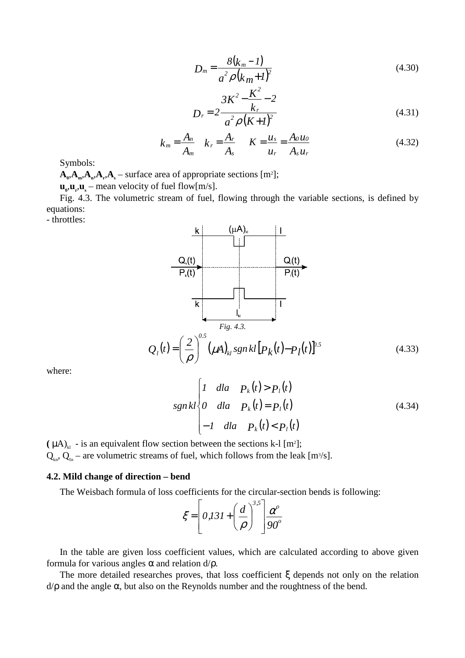$$
D_m = \frac{8(k_m - 1)}{a^2 \rho (k_m + 1)^2}
$$
 (4.30)

$$
D_r = 2 \frac{3K^2 - \frac{K^2}{k_r} - 2}{a^2 \rho (K + I)^2}
$$
(4.31)

$$
k_m = \frac{A_n}{A_m} \quad k_r = \frac{A_r}{A_s} \qquad K = \frac{u_s}{u_r} = \frac{A_0 u_0}{A_s u_r} \tag{4.32}
$$

Symbols:

 $\mathbf{A}_0$ ,  $\mathbf{A}_n$ ,  $\mathbf{A}_n$ ,  $\mathbf{A}_s$  – surface area of appropriate sections [m<sup>2</sup>];

 $\mathbf{u}_0, \mathbf{u}_r, \mathbf{u}_s$  – mean velocity of fuel flow[m/s].

Fig. 4.3. The volumetric stream of fuel, flowing through the variable sections, is defined by equations:

- throttles:



where:

$$
sgnkl \begin{cases} 1 & \text{d}la \quad P_k(t) > P_l(t) \\ 0 & \text{d}la \quad P_k(t) = P_l(t) \\ -1 & \text{d}la \quad P_k(t) < P_l(t) \end{cases}
$$
 (4.34)

 $(\mu A)_{kl}$  - is an equivalent flow section between the sections k-l [m<sup>2</sup>];  $Q_{k,n}$ ,  $Q_{in}$  – are volumetric streams of fuel, which follows from the leak [m<sup>3</sup>/s].

#### **4.2. Mild change of direction – bend**

The Weisbach formula of loss coefficients for the circular-section bends is following:

$$
\xi = \left[ 0,131 + \left( \frac{d}{\rho} \right)^{3,5} \right] \frac{\alpha^{\circ}}{90^{\circ}}
$$

In the table are given loss coefficient values, which are calculated according to above given formula for various angles  $\alpha$  and relation  $d/\rho$ .

The more detailed researches proves, that loss coefficient ξ depends not only on the relation  $d/\rho$  and the angle  $\alpha$ , but also on the Reynolds number and the roughtness of the bend.